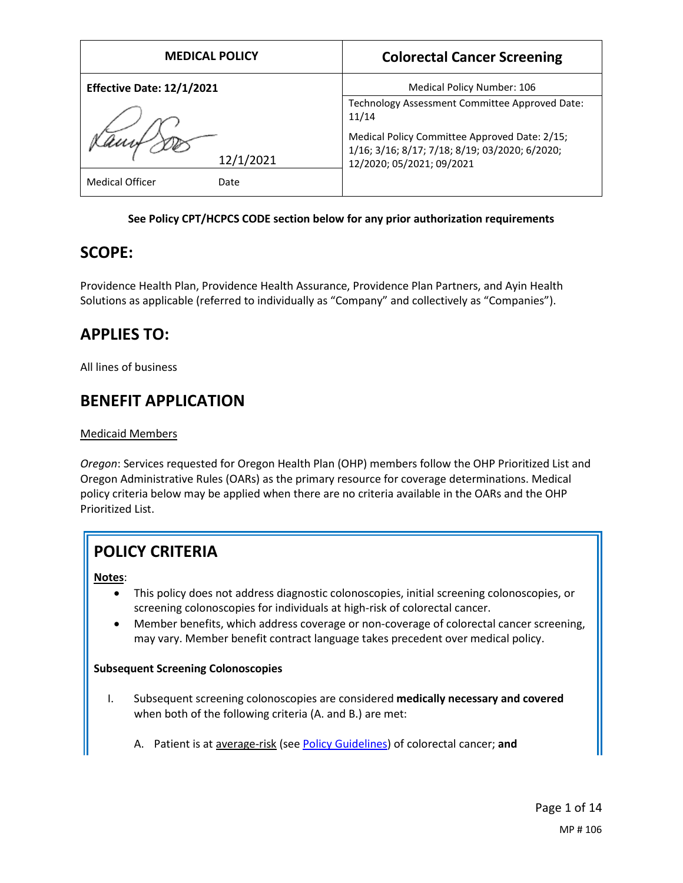| <b>MEDICAL POLICY</b>            | <b>Colorectal Cancer Screening</b>                                                                                           |  |  |
|----------------------------------|------------------------------------------------------------------------------------------------------------------------------|--|--|
| <b>Effective Date: 12/1/2021</b> | Medical Policy Number: 106                                                                                                   |  |  |
|                                  | Technology Assessment Committee Approved Date:<br>11/14                                                                      |  |  |
| 12/1/2021                        | Medical Policy Committee Approved Date: 2/15;<br>1/16; 3/16; 8/17; 7/18; 8/19; 03/2020; 6/2020;<br>12/2020; 05/2021; 09/2021 |  |  |
| <b>Medical Officer</b><br>Date   |                                                                                                                              |  |  |

### **See Policy CPT/HCPCS CODE section below for any prior authorization requirements**

# **SCOPE:**

Providence Health Plan, Providence Health Assurance, Providence Plan Partners, and Ayin Health Solutions as applicable (referred to individually as "Company" and collectively as "Companies").

# **APPLIES TO:**

All lines of business

# **BENEFIT APPLICATION**

## Medicaid Members

*Oregon*: Services requested for Oregon Health Plan (OHP) members follow the OHP Prioritized List and Oregon Administrative Rules (OARs) as the primary resource for coverage determinations. Medical policy criteria below may be applied when there are no criteria available in the OARs and the OHP Prioritized List.

# **POLICY CRITERIA**

## **Notes**:

- This policy does not address diagnostic colonoscopies, initial screening colonoscopies, or screening colonoscopies for individuals at high-risk of colorectal cancer.
- Member benefits, which address coverage or non-coverage of colorectal cancer screening, may vary. Member benefit contract language takes precedent over medical policy.

## **Subsequent Screening Colonoscopies**

- I. Subsequent screening colonoscopies are considered **medically necessary and covered** when both of the following criteria (A. and B.) are met:
	- A. Patient is at average-risk (se[e Policy Guidelines\)](#page-1-0) of colorectal cancer; **and**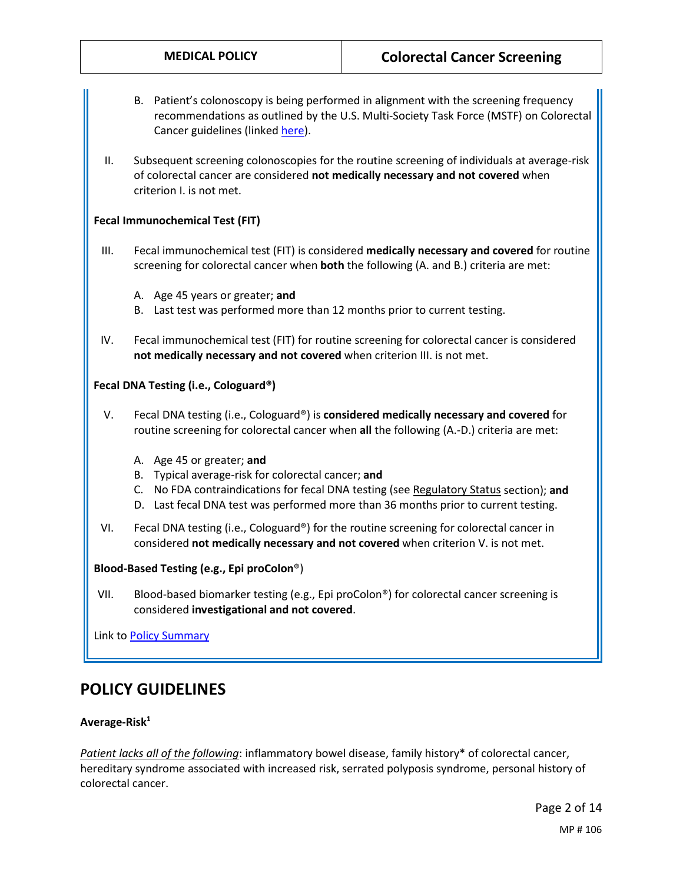- B. Patient's colonoscopy is being performed in alignment with the screening frequency recommendations as outlined by the U.S. Multi-Society Task Force (MSTF) on Colorectal Cancer guidelines (linked [here\)](#page-5-0).
- II. Subsequent screening colonoscopies for the routine screening of individuals at average-risk of colorectal cancer are considered **not medically necessary and not covered** when criterion I. is not met.

#### **Fecal Immunochemical Test (FIT)**

- III. Fecal immunochemical test (FIT) is considered **medically necessary and covered** for routine screening for colorectal cancer when **both** the following (A. and B.) criteria are met:
	- A. Age 45 years or greater; **and**
	- B. Last test was performed more than 12 months prior to current testing.
- IV. Fecal immunochemical test (FIT) for routine screening for colorectal cancer is considered **not medically necessary and not covered** when criterion III. is not met.

#### **Fecal DNA Testing (i.e., Cologuard®)**

- V. Fecal DNA testing (i.e., Cologuard®) is **considered medically necessary and covered** for routine screening for colorectal cancer when **all** the following (A.-D.) criteria are met:
	- A. Age 45 or greater; **and**
	- B. Typical average-risk for colorectal cancer; **and**
	- C. No FDA contraindications for fecal DNA testing (see [Regulatory Status](#page-11-0) section); **and**
	- D. Last fecal DNA test was performed more than 36 months prior to current testing.
- VI. Fecal DNA testing (i.e., Cologuard®) for the routine screening for colorectal cancer in considered **not medically necessary and not covered** when criterion V. is not met.

#### **Blood-Based Testing (e.g., Epi proColon**®)

VII. Blood-based biomarker testing (e.g., Epi proColon®) for colorectal cancer screening is considered **investigational and not covered**.

Link to **Policy Summary** 

## <span id="page-1-0"></span>**POLICY GUIDELINES**

#### Average-Risk<sup>1</sup>

*Patient lacks all of the following*: inflammatory bowel disease, family history\* of colorectal cancer, hereditary syndrome associated with increased risk, serrated polyposis syndrome, personal history of colorectal cancer.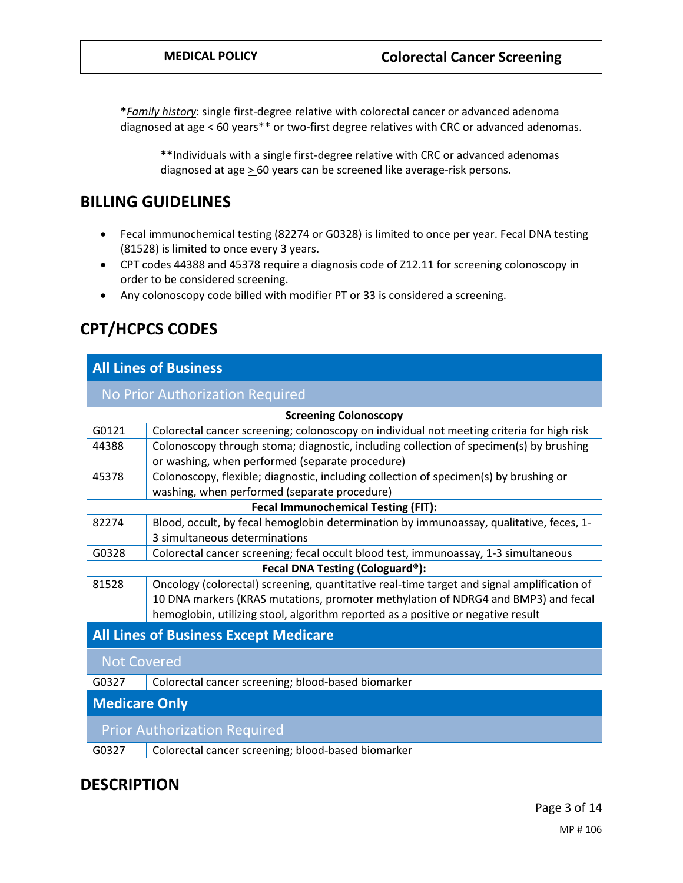**\****Family history*: single first-degree relative with colorectal cancer or advanced adenoma diagnosed at age < 60 years\*\* or two-first degree relatives with CRC or advanced adenomas.

**\*\***Individuals with a single first-degree relative with CRC or advanced adenomas diagnosed at age  $\geq$  60 years can be screened like average-risk persons.

## **BILLING GUIDELINES**

- Fecal immunochemical testing (82274 or G0328) is limited to once per year. Fecal DNA testing (81528) is limited to once every 3 years.
- CPT codes 44388 and 45378 require a diagnosis code of Z12.11 for screening colonoscopy in order to be considered screening.
- Any colonoscopy code billed with modifier PT or 33 is considered a screening.

# **CPT/HCPCS CODES**

## **All Lines of Business**

| No Prior Authorization Required              |                                                                                            |  |  |
|----------------------------------------------|--------------------------------------------------------------------------------------------|--|--|
| <b>Screening Colonoscopy</b>                 |                                                                                            |  |  |
| G0121                                        | Colorectal cancer screening; colonoscopy on individual not meeting criteria for high risk  |  |  |
| 44388                                        | Colonoscopy through stoma; diagnostic, including collection of specimen(s) by brushing     |  |  |
|                                              | or washing, when performed (separate procedure)                                            |  |  |
| 45378                                        | Colonoscopy, flexible; diagnostic, including collection of specimen(s) by brushing or      |  |  |
|                                              | washing, when performed (separate procedure)                                               |  |  |
| <b>Fecal Immunochemical Testing (FIT):</b>   |                                                                                            |  |  |
| 82274                                        | Blood, occult, by fecal hemoglobin determination by immunoassay, qualitative, feces, 1-    |  |  |
|                                              | 3 simultaneous determinations                                                              |  |  |
| G0328                                        | Colorectal cancer screening; fecal occult blood test, immunoassay, 1-3 simultaneous        |  |  |
|                                              | Fecal DNA Testing (Cologuard®):                                                            |  |  |
| 81528                                        | Oncology (colorectal) screening, quantitative real-time target and signal amplification of |  |  |
|                                              | 10 DNA markers (KRAS mutations, promoter methylation of NDRG4 and BMP3) and fecal          |  |  |
|                                              | hemoglobin, utilizing stool, algorithm reported as a positive or negative result           |  |  |
| <b>All Lines of Business Except Medicare</b> |                                                                                            |  |  |
| <b>Not Covered</b>                           |                                                                                            |  |  |
| G0327                                        | Colorectal cancer screening; blood-based biomarker                                         |  |  |
| <b>Medicare Only</b>                         |                                                                                            |  |  |
| <b>Prior Authorization Required</b>          |                                                                                            |  |  |
| G0327                                        | Colorectal cancer screening; blood-based biomarker                                         |  |  |

## **DESCRIPTION**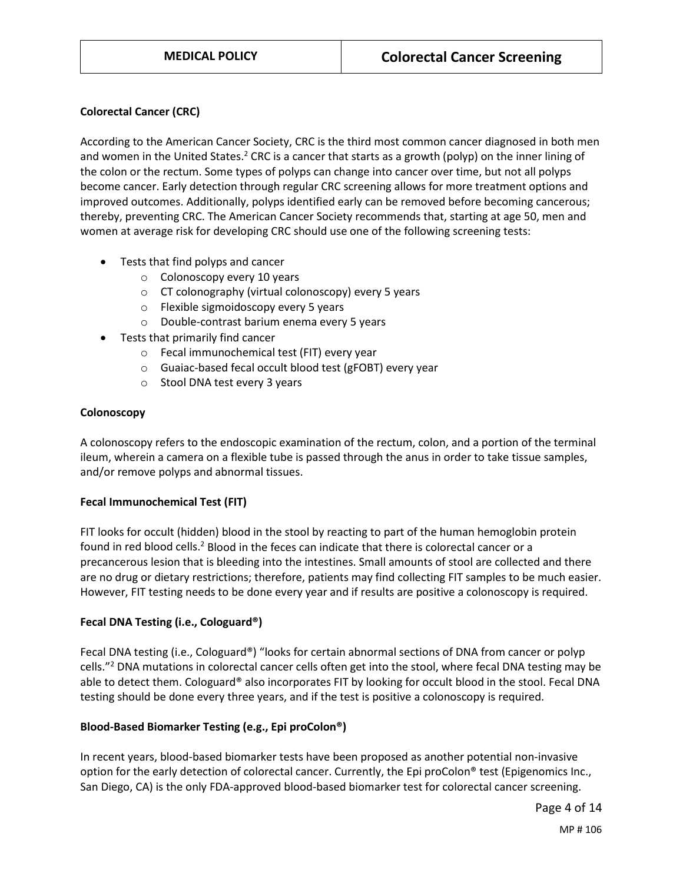#### **Colorectal Cancer (CRC)**

According to the American Cancer Society, CRC is the third most common cancer diagnosed in both men and women in the United States.<sup>2</sup> CRC is a cancer that starts as a growth (polyp) on the inner lining of the colon or the rectum. Some types of polyps can change into cancer over time, but not all polyps become cancer. Early detection through regular CRC screening allows for more treatment options and improved outcomes. Additionally, polyps identified early can be removed before becoming cancerous; thereby, preventing CRC. The American Cancer Society recommends that, starting at age 50, men and women at average risk for developing CRC should use one of the following screening tests:

- Tests that find polyps and cancer
	- o Colonoscopy every 10 years
	- o CT colonography (virtual colonoscopy) every 5 years
	- o Flexible sigmoidoscopy every 5 years
	- o Double-contrast barium enema every 5 years
- Tests that primarily find cancer
	- o Fecal immunochemical test (FIT) every year
	- o Guaiac-based fecal occult blood test (gFOBT) every year
	- o Stool DNA test every 3 years

#### **Colonoscopy**

A colonoscopy refers to the endoscopic examination of the rectum, colon, and a portion of the terminal ileum, wherein a camera on a flexible tube is passed through the anus in order to take tissue samples, and/or remove polyps and abnormal tissues.

#### **Fecal Immunochemical Test (FIT)**

FIT looks for occult (hidden) blood in the stool by reacting to part of the human hemoglobin protein found in red blood cells.<sup>2</sup> Blood in the feces can indicate that there is colorectal cancer or a precancerous lesion that is bleeding into the intestines. Small amounts of stool are collected and there are no drug or dietary restrictions; therefore, patients may find collecting FIT samples to be much easier. However, FIT testing needs to be done every year and if results are positive a colonoscopy is required.

#### **Fecal DNA Testing (i.e., Cologuard®)**

Fecal DNA testing (i.e., Cologuard®) "looks for certain abnormal sections of DNA from cancer or polyp cells."2 DNA mutations in colorectal cancer cells often get into the stool, where fecal DNA testing may be able to detect them. Cologuard® also incorporates FIT by looking for occult blood in the stool. Fecal DNA testing should be done every three years, and if the test is positive a colonoscopy is required.

#### **Blood-Based Biomarker Testing (e.g., Epi proColon®)**

In recent years, blood-based biomarker tests have been proposed as another potential non-invasive option for the early detection of colorectal cancer. Currently, the Epi proColon® test (Epigenomics Inc., San Diego, CA) is the only FDA-approved blood-based biomarker test for colorectal cancer screening.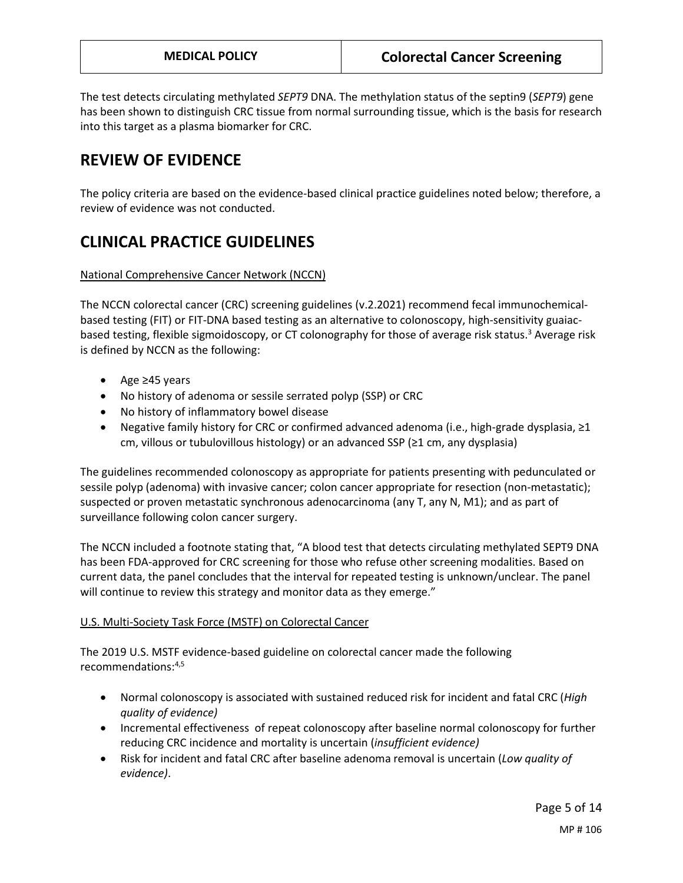The test detects circulating methylated *SEPT9* DNA. The methylation status of the septin9 (*SEPT9*) gene has been shown to distinguish CRC tissue from normal surrounding tissue, which is the basis for research into this target as a plasma biomarker for CRC.

# **REVIEW OF EVIDENCE**

The policy criteria are based on the evidence-based clinical practice guidelines noted below; therefore, a review of evidence was not conducted.

# **CLINICAL PRACTICE GUIDELINES**

National Comprehensive Cancer Network (NCCN)

The NCCN colorectal cancer (CRC) screening guidelines (v.2.2021) recommend fecal immunochemicalbased testing (FIT) or FIT-DNA based testing as an alternative to colonoscopy, high-sensitivity guaiacbased testing, flexible sigmoidoscopy, or CT colonography for those of average risk status.3 Average risk is defined by NCCN as the following:

- Age ≥45 years
- No history of adenoma or sessile serrated polyp (SSP) or CRC
- No history of inflammatory bowel disease
- Negative family history for CRC or confirmed advanced adenoma (i.e., high-grade dysplasia, ≥1 cm, villous or tubulovillous histology) or an advanced SSP (≥1 cm, any dysplasia)

The guidelines recommended colonoscopy as appropriate for patients presenting with pedunculated or sessile polyp (adenoma) with invasive cancer; colon cancer appropriate for resection (non-metastatic); suspected or proven metastatic synchronous adenocarcinoma (any T, any N, M1); and as part of surveillance following colon cancer surgery.

The NCCN included a footnote stating that, "A blood test that detects circulating methylated SEPT9 DNA has been FDA-approved for CRC screening for those who refuse other screening modalities. Based on current data, the panel concludes that the interval for repeated testing is unknown/unclear. The panel will continue to review this strategy and monitor data as they emerge."

## U.S. Multi-Society Task Force (MSTF) on Colorectal Cancer

The 2019 U.S. MSTF evidence-based guideline on colorectal cancer made the following recommendations: 4,5

- Normal colonoscopy is associated with sustained reduced risk for incident and fatal CRC (*High quality of evidence)*
- Incremental effectiveness of repeat colonoscopy after baseline normal colonoscopy for further reducing CRC incidence and mortality is uncertain (*insufficient evidence)*
- Risk for incident and fatal CRC after baseline adenoma removal is uncertain (*Low quality of evidence)*.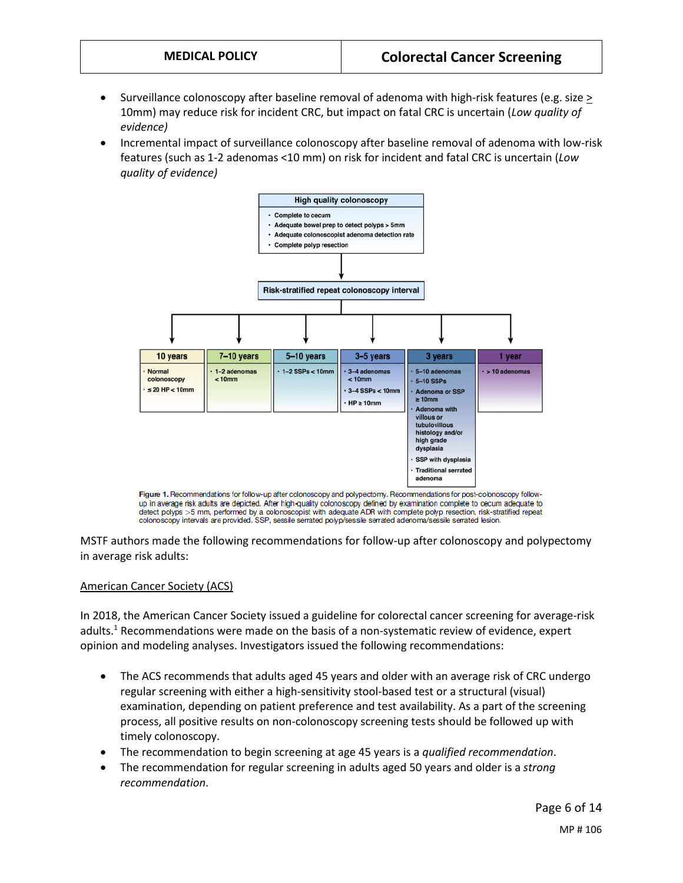- Surveillance colonoscopy after baseline removal of adenoma with high-risk features (e.g. size > 10mm) may reduce risk for incident CRC, but impact on fatal CRC is uncertain (*Low quality of evidence)*
- <span id="page-5-0"></span>• Incremental impact of surveillance colonoscopy after baseline removal of adenoma with low-risk features (such as 1-2 adenomas <10 mm) on risk for incident and fatal CRC is uncertain (*Low quality of evidence)*



Figure 1. Recommendations for follow-up after colonoscopy and polypectomy. Recommendations for post-colonoscopy followup in average risk adults are depicted. After high-quality colonoscopy defined by examination complete to cecum adequate to detect polyps >5 mm, performed by a colonoscopist with adequate ADR with complete polyp resection, risk-stratified repeat colonoscopy intervals are provided. SSP, sessile serrated polyp/sessile serrated adenoma/sessile serrated lesion.

MSTF authors made the following recommendations for follow-up after colonoscopy and polypectomy in average risk adults:

#### American Cancer Society (ACS)

In 2018, the American Cancer Society issued a guideline for colorectal cancer screening for average-risk adults.<sup>1</sup> Recommendations were made on the basis of a non-systematic review of evidence, expert opinion and modeling analyses. Investigators issued the following recommendations:

- The ACS recommends that adults aged 45 years and older with an average risk of CRC undergo regular screening with either a high-sensitivity stool-based test or a structural (visual) examination, depending on patient preference and test availability. As a part of the screening process, all positive results on non-colonoscopy screening tests should be followed up with timely colonoscopy.
- The recommendation to begin screening at age 45 years is a *qualified recommendation*.
- The recommendation for regular screening in adults aged 50 years and older is a *strong recommendation*.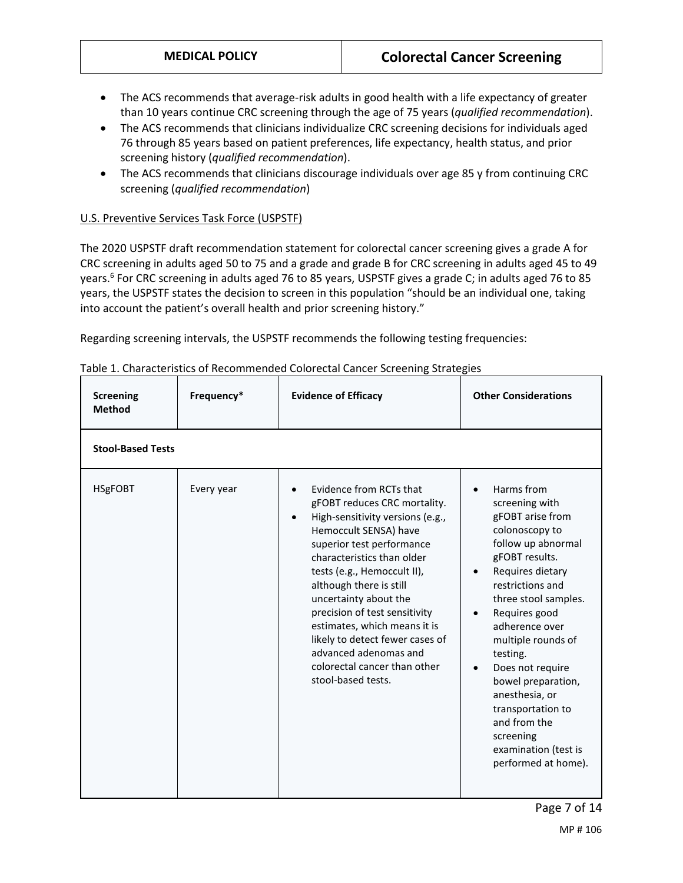- The ACS recommends that average-risk adults in good health with a life expectancy of greater than 10 years continue CRC screening through the age of 75 years (*qualified recommendation*).
- The ACS recommends that clinicians individualize CRC screening decisions for individuals aged 76 through 85 years based on patient preferences, life expectancy, health status, and prior screening history (*qualified recommendation*).
- The ACS recommends that clinicians discourage individuals over age 85 y from continuing CRC screening (*qualified recommendation*)

#### U.S. Preventive Services Task Force (USPSTF)

The 2020 USPSTF draft recommendation statement for colorectal cancer screening gives a grade A for CRC screening in adults aged 50 to 75 and a grade and grade B for CRC screening in adults aged 45 to 49 years.<sup>6</sup> For CRC screening in adults aged 76 to 85 years, USPSTF gives a grade C; in adults aged 76 to 85 years, the USPSTF states the decision to screen in this population "should be an individual one, taking into account the patient's overall health and prior screening history."

Regarding screening intervals, the USPSTF recommends the following testing frequencies:

| <b>Screening</b><br><b>Method</b> | Frequency* | <b>Evidence of Efficacy</b>                                                                                                                                                                                                                                                                                                                                                                                                                                                     | <b>Other Considerations</b>                                                                                                                                                                                                                                                                                                                                                                                                                         |
|-----------------------------------|------------|---------------------------------------------------------------------------------------------------------------------------------------------------------------------------------------------------------------------------------------------------------------------------------------------------------------------------------------------------------------------------------------------------------------------------------------------------------------------------------|-----------------------------------------------------------------------------------------------------------------------------------------------------------------------------------------------------------------------------------------------------------------------------------------------------------------------------------------------------------------------------------------------------------------------------------------------------|
| <b>Stool-Based Tests</b>          |            |                                                                                                                                                                                                                                                                                                                                                                                                                                                                                 |                                                                                                                                                                                                                                                                                                                                                                                                                                                     |
| <b>HSgFOBT</b>                    | Every year | Evidence from RCTs that<br>$\bullet$<br>gFOBT reduces CRC mortality.<br>High-sensitivity versions (e.g.,<br>$\bullet$<br>Hemoccult SENSA) have<br>superior test performance<br>characteristics than older<br>tests (e.g., Hemoccult II),<br>although there is still<br>uncertainty about the<br>precision of test sensitivity<br>estimates, which means it is<br>likely to detect fewer cases of<br>advanced adenomas and<br>colorectal cancer than other<br>stool-based tests. | Harms from<br>screening with<br>gFOBT arise from<br>colonoscopy to<br>follow up abnormal<br>gFOBT results.<br>Requires dietary<br>$\bullet$<br>restrictions and<br>three stool samples.<br>Requires good<br>$\bullet$<br>adherence over<br>multiple rounds of<br>testing.<br>Does not require<br>$\bullet$<br>bowel preparation,<br>anesthesia, or<br>transportation to<br>and from the<br>screening<br>examination (test is<br>performed at home). |

Table 1. Characteristics of Recommended Colorectal Cancer Screening Strategies

MP # 106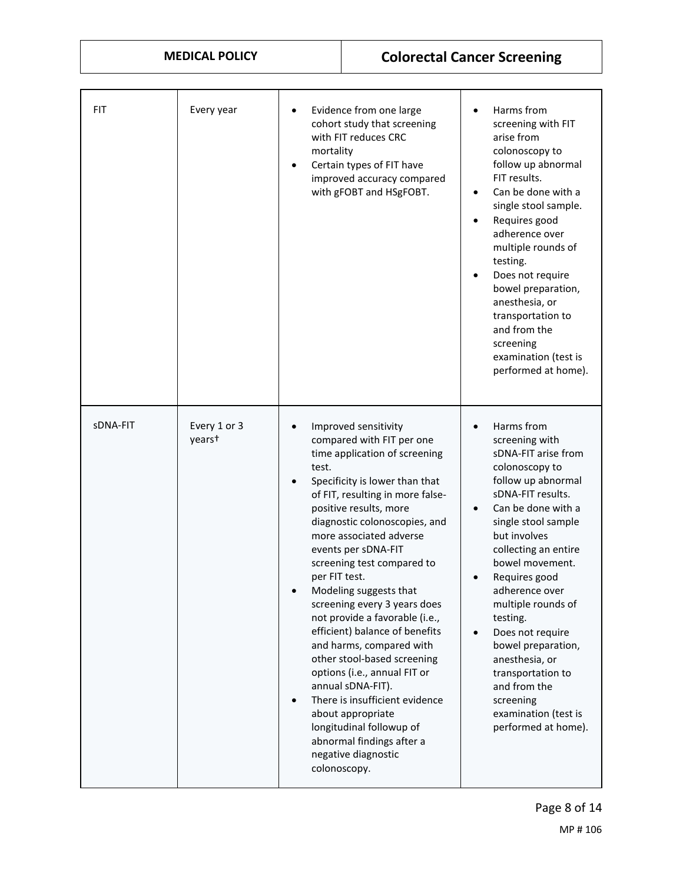| <b>MEDICAL POLICY</b> |                                    | <b>Colorectal Cancer Screening</b>                            |                                                                                                                                                                                                                                                                                                                                                                                                                                                                                                                                                                                                                                                                                                          |                                                                                                                                                                                                                                                                                                                                                                                                                                                                                      |
|-----------------------|------------------------------------|---------------------------------------------------------------|----------------------------------------------------------------------------------------------------------------------------------------------------------------------------------------------------------------------------------------------------------------------------------------------------------------------------------------------------------------------------------------------------------------------------------------------------------------------------------------------------------------------------------------------------------------------------------------------------------------------------------------------------------------------------------------------------------|--------------------------------------------------------------------------------------------------------------------------------------------------------------------------------------------------------------------------------------------------------------------------------------------------------------------------------------------------------------------------------------------------------------------------------------------------------------------------------------|
|                       |                                    |                                                               |                                                                                                                                                                                                                                                                                                                                                                                                                                                                                                                                                                                                                                                                                                          |                                                                                                                                                                                                                                                                                                                                                                                                                                                                                      |
| <b>FIT</b>            | Every year                         | $\bullet$<br>mortality                                        | Evidence from one large<br>cohort study that screening<br>with FIT reduces CRC<br>Certain types of FIT have<br>improved accuracy compared<br>with gFOBT and HSgFOBT.                                                                                                                                                                                                                                                                                                                                                                                                                                                                                                                                     | Harms from<br>screening with FIT<br>arise from<br>colonoscopy to<br>follow up abnormal<br>FIT results.<br>Can be done with a<br>$\bullet$<br>single stool sample.<br>Requires good<br>$\bullet$<br>adherence over<br>multiple rounds of<br>testing.<br>Does not require<br>bowel preparation,<br>anesthesia, or<br>transportation to<br>and from the<br>screening<br>examination (test is<br>performed at home).                                                                     |
| sDNA-FIT              | Every 1 or 3<br>years <sup>+</sup> | $\bullet$<br>test.<br>per FIT test.<br>$\bullet$<br>$\bullet$ | Improved sensitivity<br>compared with FIT per one<br>time application of screening<br>Specificity is lower than that<br>of FIT, resulting in more false-<br>positive results, more<br>diagnostic colonoscopies, and<br>more associated adverse<br>events per sDNA-FIT<br>screening test compared to<br>Modeling suggests that<br>screening every 3 years does<br>not provide a favorable (i.e.,<br>efficient) balance of benefits<br>and harms, compared with<br>other stool-based screening<br>options (i.e., annual FIT or<br>annual sDNA-FIT).<br>There is insufficient evidence<br>about appropriate<br>longitudinal followup of<br>abnormal findings after a<br>negative diagnostic<br>colonoscopy. | Harms from<br>screening with<br>sDNA-FIT arise from<br>colonoscopy to<br>follow up abnormal<br>sDNA-FIT results.<br>Can be done with a<br>single stool sample<br>but involves<br>collecting an entire<br>bowel movement.<br>Requires good<br>$\bullet$<br>adherence over<br>multiple rounds of<br>testing.<br>Does not require<br>$\bullet$<br>bowel preparation,<br>anesthesia, or<br>transportation to<br>and from the<br>screening<br>examination (test is<br>performed at home). |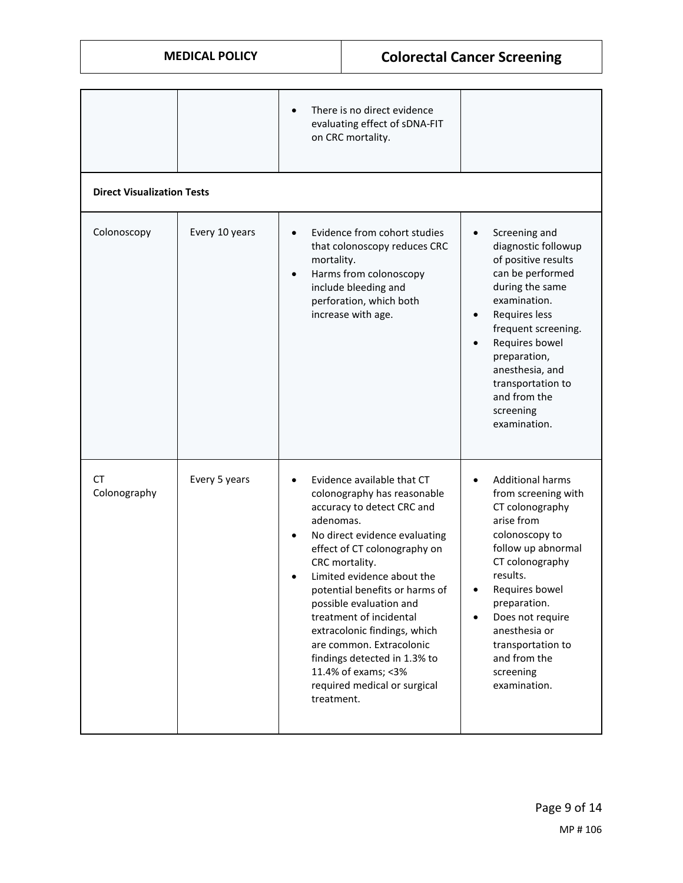|                    | <b>MEDICAL POLICY</b>             |                                      |                                                                                                                                                                                                                                                                                                                                                                                                                                                     | <b>Colorectal Cancer Screening</b>                                                                                                                                                                                                                                                                                                     |
|--------------------|-----------------------------------|--------------------------------------|-----------------------------------------------------------------------------------------------------------------------------------------------------------------------------------------------------------------------------------------------------------------------------------------------------------------------------------------------------------------------------------------------------------------------------------------------------|----------------------------------------------------------------------------------------------------------------------------------------------------------------------------------------------------------------------------------------------------------------------------------------------------------------------------------------|
|                    |                                   |                                      | There is no direct evidence<br>evaluating effect of sDNA-FIT<br>on CRC mortality.                                                                                                                                                                                                                                                                                                                                                                   |                                                                                                                                                                                                                                                                                                                                        |
|                    | <b>Direct Visualization Tests</b> |                                      |                                                                                                                                                                                                                                                                                                                                                                                                                                                     |                                                                                                                                                                                                                                                                                                                                        |
| Colonoscopy        | Every 10 years                    | $\bullet$<br>mortality.<br>$\bullet$ | Evidence from cohort studies<br>that colonoscopy reduces CRC<br>Harms from colonoscopy<br>include bleeding and<br>perforation, which both<br>increase with age.                                                                                                                                                                                                                                                                                     | Screening and<br>$\bullet$<br>diagnostic followup<br>of positive results<br>can be performed<br>during the same<br>examination.<br>Requires less<br>frequent screening.<br>Requires bowel<br>preparation,<br>anesthesia, and<br>transportation to<br>and from the<br>screening<br>examination.                                         |
| СT<br>Colonography | Every 5 years                     | adenomas.<br>treatment.              | Evidence available that CT<br>colonography has reasonable<br>accuracy to detect CRC and<br>No direct evidence evaluating<br>effect of CT colonography on<br>CRC mortality.<br>Limited evidence about the<br>potential benefits or harms of<br>possible evaluation and<br>treatment of incidental<br>extracolonic findings, which<br>are common. Extracolonic<br>findings detected in 1.3% to<br>11.4% of exams; <3%<br>required medical or surgical | <b>Additional harms</b><br>$\bullet$<br>from screening with<br>CT colonography<br>arise from<br>colonoscopy to<br>follow up abnormal<br>CT colonography<br>results.<br>Requires bowel<br>$\bullet$<br>preparation.<br>Does not require<br>$\bullet$<br>anesthesia or<br>transportation to<br>and from the<br>screening<br>examination. |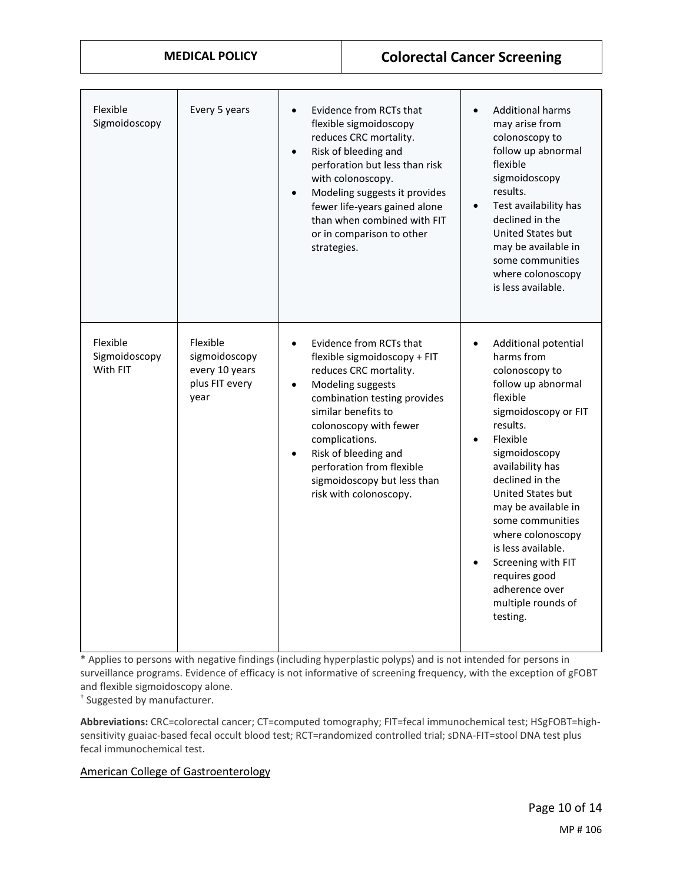## **MEDICAL POLICY Colorectal Cancer Screening**

| Flexible<br>Sigmoidoscopy             | Every 5 years                                                         | Evidence from RCTs that<br>$\bullet$<br>flexible sigmoidoscopy<br>reduces CRC mortality.<br>Risk of bleeding and<br>$\bullet$<br>perforation but less than risk<br>with colonoscopy.<br>Modeling suggests it provides<br>$\bullet$<br>fewer life-years gained alone<br>than when combined with FIT<br>or in comparison to other<br>strategies.                 | <b>Additional harms</b><br>$\bullet$<br>may arise from<br>colonoscopy to<br>follow up abnormal<br>flexible<br>sigmoidoscopy<br>results.<br>Test availability has<br>$\bullet$<br>declined in the<br>United States but<br>may be available in<br>some communities<br>where colonoscopy<br>is less available.                                                                                                                    |
|---------------------------------------|-----------------------------------------------------------------------|----------------------------------------------------------------------------------------------------------------------------------------------------------------------------------------------------------------------------------------------------------------------------------------------------------------------------------------------------------------|--------------------------------------------------------------------------------------------------------------------------------------------------------------------------------------------------------------------------------------------------------------------------------------------------------------------------------------------------------------------------------------------------------------------------------|
| Flexible<br>Sigmoidoscopy<br>With FIT | Flexible<br>sigmoidoscopy<br>every 10 years<br>plus FIT every<br>year | Evidence from RCTs that<br>$\bullet$<br>flexible sigmoidoscopy + FIT<br>reduces CRC mortality.<br>Modeling suggests<br>$\bullet$<br>combination testing provides<br>similar benefits to<br>colonoscopy with fewer<br>complications.<br>Risk of bleeding and<br>$\bullet$<br>perforation from flexible<br>sigmoidoscopy but less than<br>risk with colonoscopy. | Additional potential<br>$\bullet$<br>harms from<br>colonoscopy to<br>follow up abnormal<br>flexible<br>sigmoidoscopy or FIT<br>results.<br>Flexible<br>$\bullet$<br>sigmoidoscopy<br>availability has<br>declined in the<br>United States but<br>may be available in<br>some communities<br>where colonoscopy<br>is less available.<br>Screening with FIT<br>requires good<br>adherence over<br>multiple rounds of<br>testing. |

\* Applies to persons with negative findings (including hyperplastic polyps) and is not intended for persons in surveillance programs. Evidence of efficacy is not informative of screening frequency, with the exception of gFOBT and flexible sigmoidoscopy alone.

† Suggested by manufacturer.

**Abbreviations:** CRC=colorectal cancer; CT=computed tomography; FIT=fecal immunochemical test; HSgFOBT=highsensitivity guaiac-based fecal occult blood test; RCT=randomized controlled trial; sDNA-FIT=stool DNA test plus fecal immunochemical test.

#### American College of Gastroenterology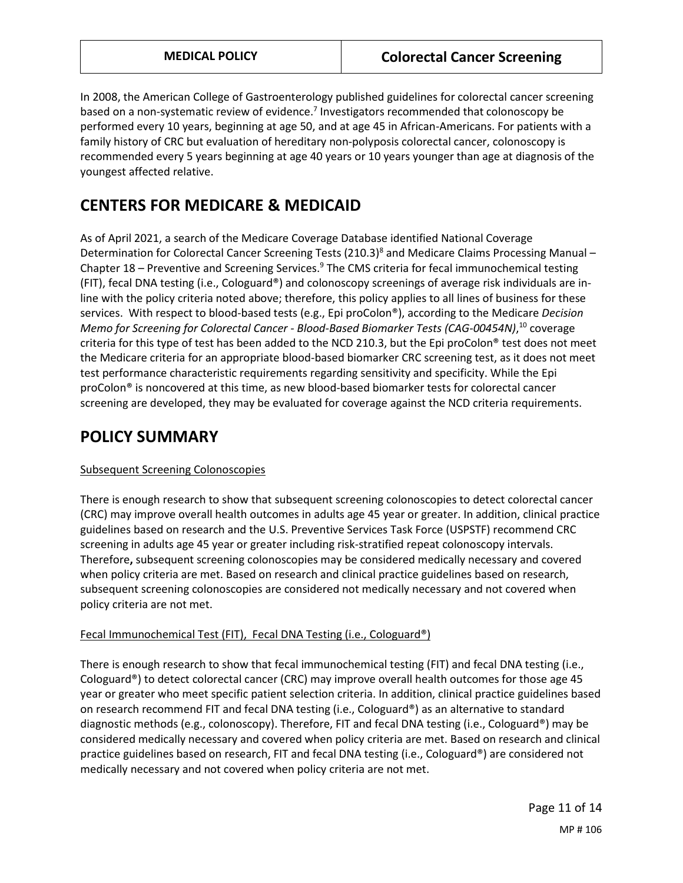In 2008, the American College of Gastroenterology published guidelines for colorectal cancer screening based on a non-systematic review of evidence.7 Investigators recommended that colonoscopy be performed every 10 years, beginning at age 50, and at age 45 in African-Americans. For patients with a family history of CRC but evaluation of hereditary non-polyposis colorectal cancer, colonoscopy is recommended every 5 years beginning at age 40 years or 10 years younger than age at diagnosis of the youngest affected relative.

# **CENTERS FOR MEDICARE & MEDICAID**

As of April 2021, a search of the Medicare Coverage Database identified National Coverage Determination for Colorectal Cancer Screening Tests (210.3)<sup>8</sup> and Medicare Claims Processing Manual – Chapter 18 – Preventive and Screening Services.<sup>9</sup> The CMS criteria for fecal immunochemical testing (FIT), fecal DNA testing (i.e., Cologuard®) and colonoscopy screenings of average risk individuals are inline with the policy criteria noted above; therefore, this policy applies to all lines of business for these services. With respect to blood-based tests (e.g., Epi proColon®), according to the Medicare *Decision Memo for Screening for Colorectal Cancer - Blood-Based Biomarker Tests (CAG-00454N)*, <sup>10</sup> coverage criteria for this type of test has been added to the NCD 210.3, but the Epi proColon® test does not meet the Medicare criteria for an appropriate blood-based biomarker CRC screening test, as it does not meet test performance characteristic requirements regarding sensitivity and specificity. While the Epi proColon® is noncovered at this time, as new blood-based biomarker tests for colorectal cancer screening are developed, they may be evaluated for coverage against the NCD criteria requirements.

# <span id="page-10-0"></span>**POLICY SUMMARY**

## Subsequent Screening Colonoscopies

There is enough research to show that subsequent screening colonoscopies to detect colorectal cancer (CRC) may improve overall health outcomes in adults age 45 year or greater. In addition, clinical practice guidelines based on research and the U.S. Preventive Services Task Force (USPSTF) recommend CRC screening in adults age 45 year or greater including risk-stratified repeat colonoscopy intervals. Therefore**,** subsequent screening colonoscopies may be considered medically necessary and covered when policy criteria are met. Based on research and clinical practice guidelines based on research, subsequent screening colonoscopies are considered not medically necessary and not covered when policy criteria are not met.

## Fecal Immunochemical Test (FIT), Fecal DNA Testing (i.e., Cologuard®)

There is enough research to show that fecal immunochemical testing (FIT) and fecal DNA testing (i.e., Cologuard®) to detect colorectal cancer (CRC) may improve overall health outcomes for those age 45 year or greater who meet specific patient selection criteria. In addition, clinical practice guidelines based on research recommend FIT and fecal DNA testing (i.e., Cologuard®) as an alternative to standard diagnostic methods (e.g., colonoscopy). Therefore, FIT and fecal DNA testing (i.e., Cologuard®) may be considered medically necessary and covered when policy criteria are met. Based on research and clinical practice guidelines based on research, FIT and fecal DNA testing (i.e., Cologuard®) are considered not medically necessary and not covered when policy criteria are not met.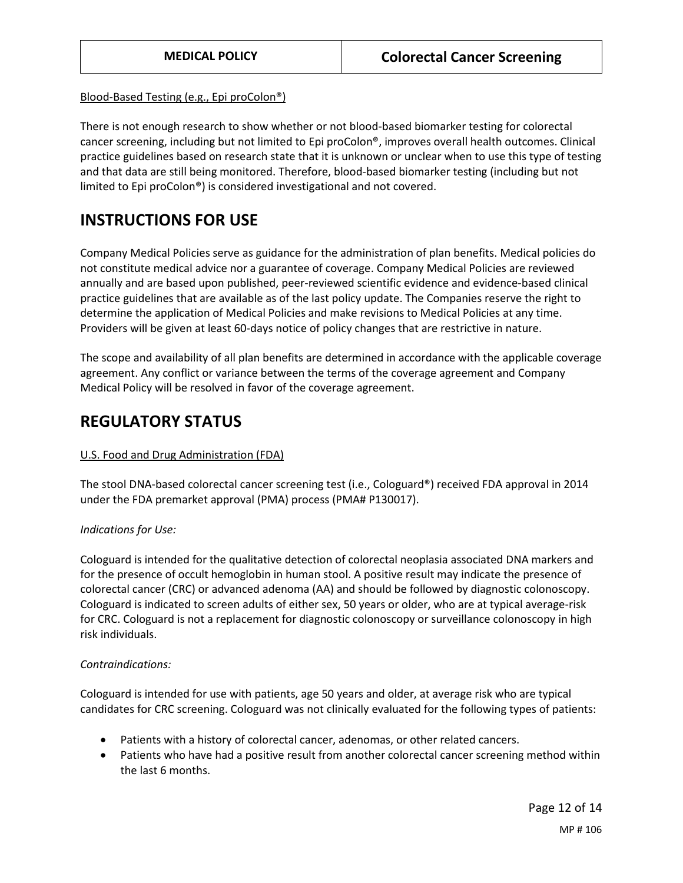#### Blood-Based Testing (e.g., Epi proColon®)

There is not enough research to show whether or not blood-based biomarker testing for colorectal cancer screening, including but not limited to Epi proColon®, improves overall health outcomes. Clinical practice guidelines based on research state that it is unknown or unclear when to use this type of testing and that data are still being monitored. Therefore, blood-based biomarker testing (including but not limited to Epi proColon®) is considered investigational and not covered.

# **INSTRUCTIONS FOR USE**

Company Medical Policies serve as guidance for the administration of plan benefits. Medical policies do not constitute medical advice nor a guarantee of coverage. Company Medical Policies are reviewed annually and are based upon published, peer-reviewed scientific evidence and evidence-based clinical practice guidelines that are available as of the last policy update. The Companies reserve the right to determine the application of Medical Policies and make revisions to Medical Policies at any time. Providers will be given at least 60-days notice of policy changes that are restrictive in nature.

The scope and availability of all plan benefits are determined in accordance with the applicable coverage agreement. Any conflict or variance between the terms of the coverage agreement and Company Medical Policy will be resolved in favor of the coverage agreement.

# <span id="page-11-0"></span>**REGULATORY STATUS**

## U.S. Food and Drug Administration (FDA)

The stool DNA-based colorectal cancer screening test (i.e., Cologuard®) received FDA approval in 2014 under the FDA premarket approval (PMA) process (PMA# P130017).

## *Indications for Use:*

Cologuard is intended for the qualitative detection of colorectal neoplasia associated DNA markers and for the presence of occult hemoglobin in human stool. A positive result may indicate the presence of colorectal cancer (CRC) or advanced adenoma (AA) and should be followed by diagnostic colonoscopy. Cologuard is indicated to screen adults of either sex, 50 years or older, who are at typical average-risk for CRC. Cologuard is not a replacement for diagnostic colonoscopy or surveillance colonoscopy in high risk individuals.

#### *Contraindications:*

Cologuard is intended for use with patients, age 50 years and older, at average risk who are typical candidates for CRC screening. Cologuard was not clinically evaluated for the following types of patients:

- Patients with a history of colorectal cancer, adenomas, or other related cancers.
- Patients who have had a positive result from another colorectal cancer screening method within the last 6 months.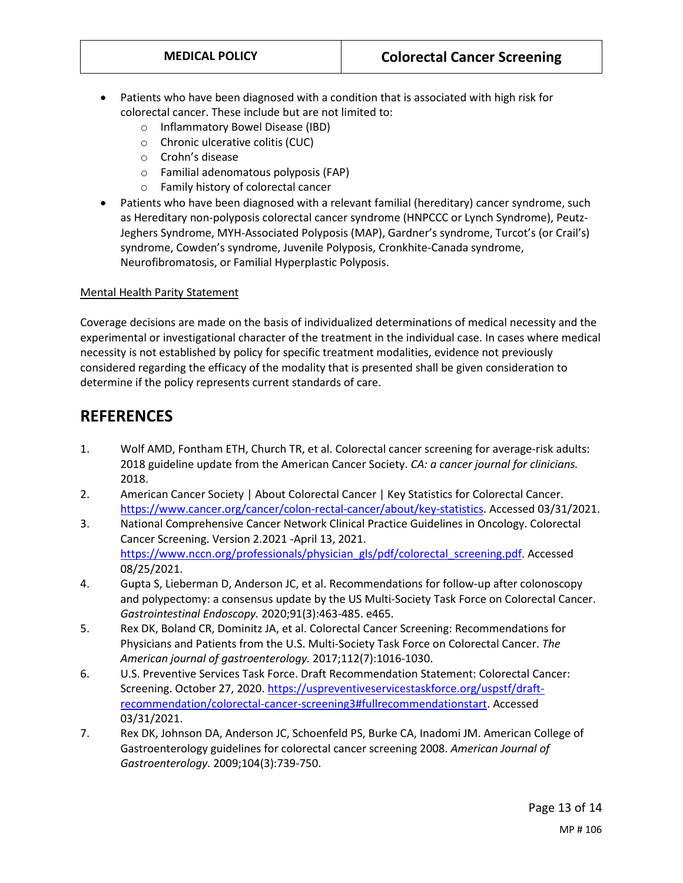- Patients who have been diagnosed with a condition that is associated with high risk for colorectal cancer. These include but are not limited to:
	- o Inflammatory Bowel Disease (IBD)
	- o Chronic ulcerative colitis (CUC)
	- o Crohn's disease
	- o Familial adenomatous polyposis (FAP)
	- o Family history of colorectal cancer
- Patients who have been diagnosed with a relevant familial (hereditary) cancer syndrome, such as Hereditary non-polyposis colorectal cancer syndrome (HNPCCC or Lynch Syndrome), Peutz-Jeghers Syndrome, MYH-Associated Polyposis (MAP), Gardner's syndrome, Turcot's (or Crail's) syndrome, Cowden's syndrome, Juvenile Polyposis, Cronkhite-Canada syndrome, Neurofibromatosis, or Familial Hyperplastic Polyposis.

#### Mental Health Parity Statement

Coverage decisions are made on the basis of individualized determinations of medical necessity and the experimental or investigational character of the treatment in the individual case. In cases where medical necessity is not established by policy for specific treatment modalities, evidence not previously considered regarding the efficacy of the modality that is presented shall be given consideration to determine if the policy represents current standards of care.

## **REFERENCES**

- 1. Wolf AMD, Fontham ETH, Church TR, et al. Colorectal cancer screening for average-risk adults: 2018 guideline update from the American Cancer Society. *CA: a cancer journal for clinicians.*  2018.
- 2. American Cancer Society | About Colorectal Cancer | Key Statistics for Colorectal Cancer. [https://www.cancer.org/cancer/colon-rectal-cancer/about/key-statistics.](https://www.cancer.org/cancer/colon-rectal-cancer/about/key-statistics) Accessed 03/31/2021.
- 3. National Comprehensive Cancer Network Clinical Practice Guidelines in Oncology. Colorectal Cancer Screening. Version 2.2021 -April 13, 2021. [https://www.nccn.org/professionals/physician\\_gls/pdf/colorectal\\_screening.pdf.](https://www.nccn.org/professionals/physician_gls/pdf/colorectal_screening.pdf) Accessed 08/25/2021.
- 4. Gupta S, Lieberman D, Anderson JC, et al. Recommendations for follow-up after colonoscopy and polypectomy: a consensus update by the US Multi-Society Task Force on Colorectal Cancer. *Gastrointestinal Endoscopy.* 2020;91(3):463-485. e465.
- 5. Rex DK, Boland CR, Dominitz JA, et al. Colorectal Cancer Screening: Recommendations for Physicians and Patients from the U.S. Multi-Society Task Force on Colorectal Cancer. *The American journal of gastroenterology.* 2017;112(7):1016-1030.
- 6. U.S. Preventive Services Task Force. Draft Recommendation Statement: Colorectal Cancer: Screening. October 27, 2020. [https://uspreventiveservicestaskforce.org/uspstf/draft](https://uspreventiveservicestaskforce.org/uspstf/draft-recommendation/colorectal-cancer-screening3#fullrecommendationstart)[recommendation/colorectal-cancer-screening3#fullrecommendationstart.](https://uspreventiveservicestaskforce.org/uspstf/draft-recommendation/colorectal-cancer-screening3#fullrecommendationstart) Accessed 03/31/2021.
- 7. Rex DK, Johnson DA, Anderson JC, Schoenfeld PS, Burke CA, Inadomi JM. American College of Gastroenterology guidelines for colorectal cancer screening 2008. *American Journal of Gastroenterology.* 2009;104(3):739-750.